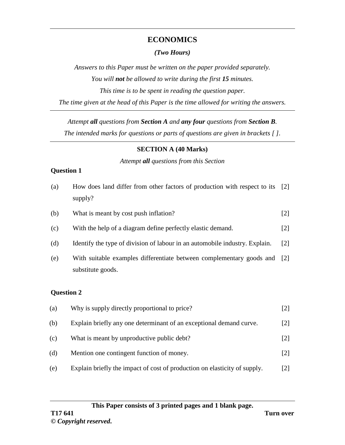# **ECONOMICS**

# *(Two Hours)*

*Answers to this Paper must be written on the paper provided separately. You will not be allowed to write during the first 15 minutes. This time is to be spent in reading the question paper. The time given at the head of this Paper is the time allowed for writing the answers.*

*Attempt all questions from Section A and any four questions from Section B.*

*The intended marks for questions or parts of questions are given in brackets [ ].*

# **SECTION A (40 Marks)**

#### *Attempt all questions from this Section*

# **Question 1**

| (a)               | How does land differ from other factors of production with respect to its<br>supply?      | $\lceil 2 \rceil$ |
|-------------------|-------------------------------------------------------------------------------------------|-------------------|
| (b)               | What is meant by cost push inflation?                                                     | $[2]$             |
| (c)               | With the help of a diagram define perfectly elastic demand.                               | [2]               |
| (d)               | Identify the type of division of labour in an automobile industry. Explain.               | $\lceil 2 \rceil$ |
| (e)               | With suitable examples differentiate between complementary goods and<br>substitute goods. | $\lceil 2 \rceil$ |
| <b>Question 2</b> |                                                                                           |                   |
| (a)               | Why is supply directly proportional to price?                                             | $\lceil 2 \rceil$ |

- (b) Explain briefly any one determinant of an exceptional demand curve. [2]
- (c) What is meant by unproductive public debt? [2]
- (d) Mention one contingent function of money. [2]
- (e) Explain briefly the impact of cost of production on elasticity of supply. [2]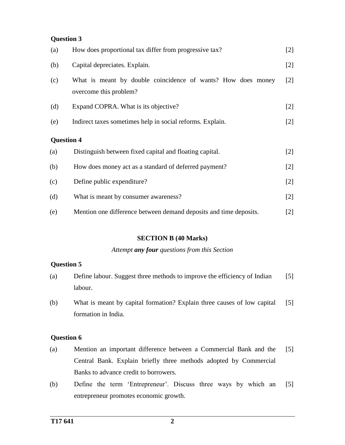# **Question 3**

| (a)               | How does proportional tax differ from progressive tax?                                 | $[2]$ |  |
|-------------------|----------------------------------------------------------------------------------------|-------|--|
| (b)               | Capital depreciates. Explain.                                                          | $[2]$ |  |
| (c)               | What is meant by double coincidence of wants? How does money<br>overcome this problem? | $[2]$ |  |
| (d)               | Expand COPRA. What is its objective?                                                   | $[2]$ |  |
| (e)               | Indirect taxes sometimes help in social reforms. Explain.                              | $[2]$ |  |
| <b>Question 4</b> |                                                                                        |       |  |
| (a)               | Distinguish between fixed capital and floating capital.                                | $[2]$ |  |
| (b)               | How does money act as a standard of deferred payment?                                  | $[2]$ |  |
| (c)               | Define public expenditure?                                                             | $[2]$ |  |
| (d)               | What is meant by consumer awareness?                                                   | $[2]$ |  |
| (e)               | Mention one difference between demand deposits and time deposits.                      | $[2]$ |  |

#### **SECTION B (40 Marks)**

*Attempt any four questions from this Section*

#### **Question 5**

- (a) Define labour. Suggest three methods to improve the efficiency of Indian labour. [5]
- (b) What is meant by capital formation? Explain three causes of low capital formation in India. [5]

# **Question 6**

- (a) Mention an important difference between a Commercial Bank and the Central Bank. Explain briefly three methods adopted by Commercial Banks to advance credit to borrowers. [5]
- (b) Define the term 'Entrepreneur'. Discuss three ways by which an entrepreneur promotes economic growth. [5]